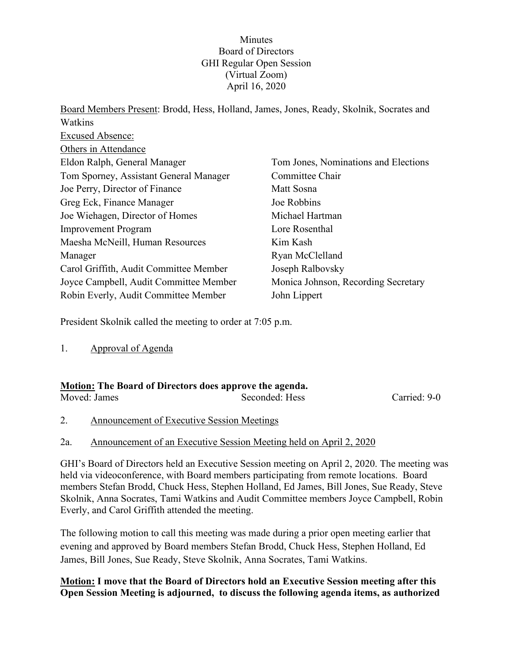### **Minutes** Board of Directors GHI Regular Open Session (Virtual Zoom) April 16, 2020

Board Members Present: Brodd, Hess, Holland, James, Jones, Ready, Skolnik, Socrates and Watkins Excused Absence: Others in Attendance Eldon Ralph, General Manager Tom Sporney, Assistant General Manager Joe Perry, Director of Finance Greg Eck, Finance Manager Joe Wiehagen, Director of Homes Improvement Program Maesha McNeill, Human Resources Manager Carol Griffith, Audit Committee Member Joyce Campbell, Audit Committee Member Robin Everly, Audit Committee Member Tom Jones, Nominations and Elections Committee Chair Matt Sosna Joe Robbins Michael Hartman Lore Rosenthal Kim Kash Ryan McClelland Joseph Ralbovsky Monica Johnson, Recording Secretary John Lippert

President Skolnik called the meeting to order at 7:05 p.m.

1. Approval of Agenda

| <b>Motion:</b> The Board of Directors does approve the agenda. |                |              |  |
|----------------------------------------------------------------|----------------|--------------|--|
| Moved: James                                                   | Seconded: Hess | Carried: 9-0 |  |

2. Announcement of Executive Session Meetings

## 2a. Announcement of an Executive Session Meeting held on April 2, 2020

GHI's Board of Directors held an Executive Session meeting on April 2, 2020. The meeting was held via videoconference, with Board members participating from remote locations. Board members Stefan Brodd, Chuck Hess, Stephen Holland, Ed James, Bill Jones, Sue Ready, Steve Skolnik, Anna Socrates, Tami Watkins and Audit Committee members Joyce Campbell, Robin Everly, and Carol Griffith attended the meeting.

The following motion to call this meeting was made during a prior open meeting earlier that evening and approved by Board members Stefan Brodd, Chuck Hess, Stephen Holland, Ed James, Bill Jones, Sue Ready, Steve Skolnik, Anna Socrates, Tami Watkins.

### **Motion: I move that the Board of Directors hold an Executive Session meeting after this Open Session Meeting is adjourned, to discuss the following agenda items, as authorized**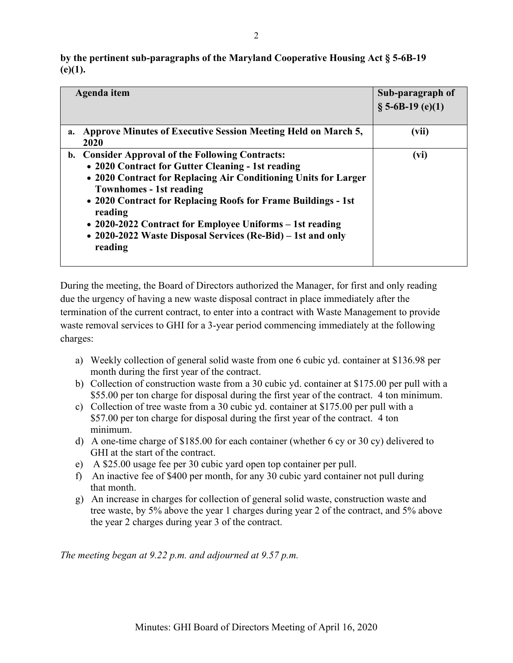| by the pertinent sub-paragraphs of the Maryland Cooperative Housing Act § 5-6B-19 |  |
|-----------------------------------------------------------------------------------|--|
| (e)(1).                                                                           |  |

| Agenda item                                                                                                                                                                                                                                                                                                                                                                                                                  | Sub-paragraph of<br>$\S$ 5-6B-19 (e)(1) |
|------------------------------------------------------------------------------------------------------------------------------------------------------------------------------------------------------------------------------------------------------------------------------------------------------------------------------------------------------------------------------------------------------------------------------|-----------------------------------------|
| <b>Approve Minutes of Executive Session Meeting Held on March 5,</b><br>a.<br>2020                                                                                                                                                                                                                                                                                                                                           | (vii)                                   |
| b. Consider Approval of the Following Contracts:<br>• 2020 Contract for Gutter Cleaning - 1st reading<br>• 2020 Contract for Replacing Air Conditioning Units for Larger<br><b>Townhomes - 1st reading</b><br>• 2020 Contract for Replacing Roofs for Frame Buildings - 1st<br>reading<br>• 2020-2022 Contract for Employee Uniforms – 1st reading<br>• 2020-2022 Waste Disposal Services (Re-Bid) – 1st and only<br>reading | (vi)                                    |

During the meeting, the Board of Directors authorized the Manager, for first and only reading due the urgency of having a new waste disposal contract in place immediately after the termination of the current contract, to enter into a contract with Waste Management to provide waste removal services to GHI for a 3-year period commencing immediately at the following charges:

- a) Weekly collection of general solid waste from one 6 cubic yd. container at \$136.98 per month during the first year of the contract.
- b) Collection of construction waste from a 30 cubic yd. container at \$175.00 per pull with a \$55.00 per ton charge for disposal during the first year of the contract. 4 ton minimum.
- c) Collection of tree waste from a 30 cubic yd. container at \$175.00 per pull with a \$57.00 per ton charge for disposal during the first year of the contract. 4 ton minimum.
- d) A one-time charge of \$185.00 for each container (whether 6 cy or 30 cy) delivered to GHI at the start of the contract.
- e) A \$25.00 usage fee per 30 cubic yard open top container per pull.
- f) An inactive fee of \$400 per month, for any 30 cubic yard container not pull during that month.
- g) An increase in charges for collection of general solid waste, construction waste and tree waste, by 5% above the year 1 charges during year 2 of the contract, and 5% above the year 2 charges during year 3 of the contract.

*The meeting began at 9.22 p.m. and adjourned at 9.57 p.m.*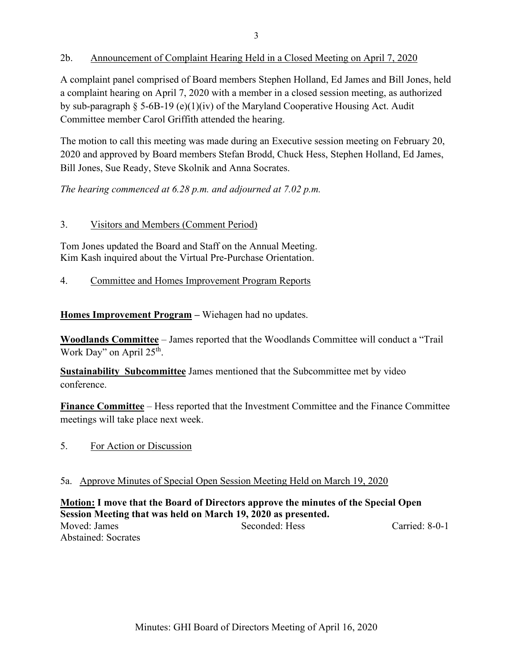### 2b. Announcement of Complaint Hearing Held in a Closed Meeting on April 7, 2020

A complaint panel comprised of Board members Stephen Holland, Ed James and Bill Jones, held a complaint hearing on April 7, 2020 with a member in a closed session meeting, as authorized by sub-paragraph § 5-6B-19 (e)(1)(iv) of the Maryland Cooperative Housing Act. Audit Committee member Carol Griffith attended the hearing.

The motion to call this meeting was made during an Executive session meeting on February 20, 2020 and approved by Board members Stefan Brodd, Chuck Hess, Stephen Holland, Ed James, Bill Jones, Sue Ready, Steve Skolnik and Anna Socrates.

*The hearing commenced at 6.28 p.m. and adjourned at 7.02 p.m.* 

### 3. Visitors and Members (Comment Period)

Tom Jones updated the Board and Staff on the Annual Meeting. Kim Kash inquired about the Virtual Pre-Purchase Orientation.

4. Committee and Homes Improvement Program Reports

**Homes Improvement Program –** Wiehagen had no updates.

**Woodlands Committee** – James reported that the Woodlands Committee will conduct a "Trail Work Day" on April 25<sup>th</sup>.

**Sustainability Subcommittee** James mentioned that the Subcommittee met by video conference.

**Finance Committee** – Hess reported that the Investment Committee and the Finance Committee meetings will take place next week.

5. For Action or Discussion

### 5a. Approve Minutes of Special Open Session Meeting Held on March 19, 2020

### **Motion: I move that the Board of Directors approve the minutes of the Special Open Session Meeting that was held on March 19, 2020 as presented.**

Moved: James Seconded: Hess Carried: 8-0-1 Abstained: Socrates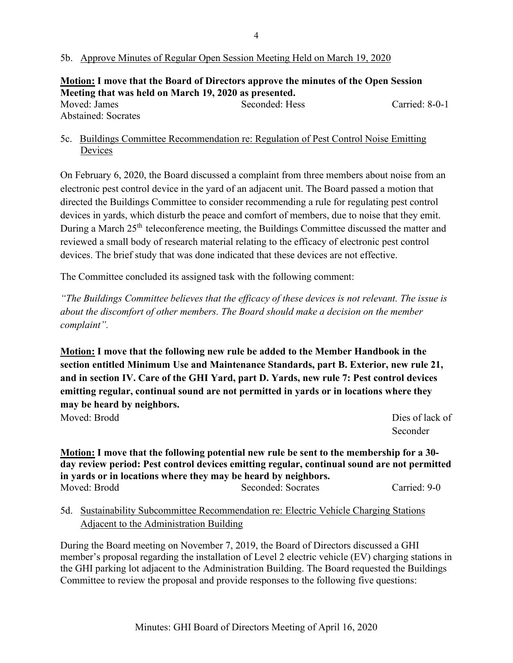### 5b. Approve Minutes of Regular Open Session Meeting Held on March 19, 2020

**Motion: I move that the Board of Directors approve the minutes of the Open Session Meeting that was held on March 19, 2020 as presented.** Moved: James Seconded: Hess Carried: 8-0-1 Abstained: Socrates

5c. Buildings Committee Recommendation re: Regulation of Pest Control Noise Emitting Devices

On February 6, 2020, the Board discussed a complaint from three members about noise from an electronic pest control device in the yard of an adjacent unit. The Board passed a motion that directed the Buildings Committee to consider recommending a rule for regulating pest control devices in yards, which disturb the peace and comfort of members, due to noise that they emit. During a March 25<sup>th</sup> teleconference meeting, the Buildings Committee discussed the matter and reviewed a small body of research material relating to the efficacy of electronic pest control devices. The brief study that was done indicated that these devices are not effective.

The Committee concluded its assigned task with the following comment:

*"The Buildings Committee believes that the efficacy of these devices is not relevant. The issue is about the discomfort of other members. The Board should make a decision on the member complaint".*

**Motion: I move that the following new rule be added to the Member Handbook in the section entitled Minimum Use and Maintenance Standards, part B. Exterior, new rule 21, and in section IV. Care of the GHI Yard, part D. Yards, new rule 7: Pest control devices emitting regular, continual sound are not permitted in yards or in locations where they may be heard by neighbors.** Moved: Brodd Dies of lack of  $\Box$ 

**Seconder** Seconder

**Motion: I move that the following potential new rule be sent to the membership for a 30 day review period: Pest control devices emitting regular, continual sound are not permitted in yards or in locations where they may be heard by neighbors.** Moved: Brodd Seconded: Socrates Carried: 9-0

5d. Sustainability Subcommittee Recommendation re: Electric Vehicle Charging Stations Adjacent to the Administration Building

During the Board meeting on November 7, 2019, the Board of Directors discussed a GHI member's proposal regarding the installation of Level 2 electric vehicle (EV) charging stations in the GHI parking lot adjacent to the Administration Building. The Board requested the Buildings Committee to review the proposal and provide responses to the following five questions: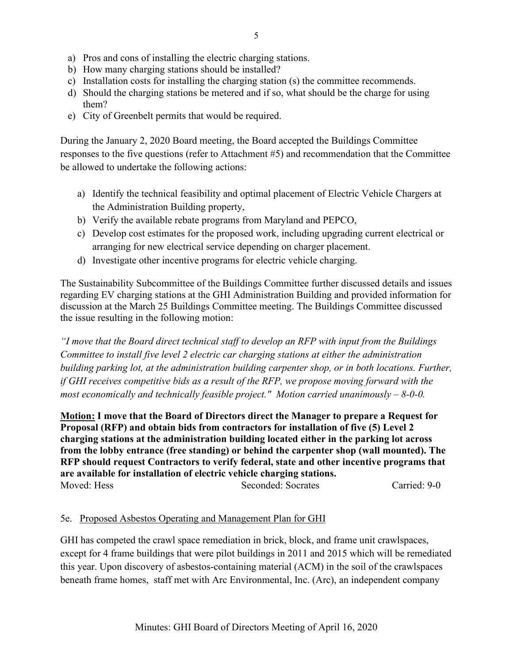- a) Pros and cons of installing the electric charging stations.
- b) How many charging stations should be installed?
- c) Installation costs for installing the charging station (s) the committee recommends.
- d) Should the charging stations be metered and if so, what should be the charge for using them?
- e) City of Greenbelt permits that would be required.

During the January 2, 2020 Board meeting, the Board accepted the Buildings Committee responses to the five questions (refer to Attachment #5) and recommendation that the Committee be allowed to undertake the following actions:

- a) Identify the technical feasibility and optimal placement of Electric Vehicle Chargers at the Administration Building property,
- b) Verify the available rebate programs from Maryland and PEPCO,
- c) Develop cost estimates for the proposed work, including upgrading current electrical or arranging for new electrical service depending on charger placement.
- d) Investigate other incentive programs for electric vehicle charging.

The Sustainability Subcommittee of the Buildings Committee further discussed details and issues regarding EV charging stations at the GHI Administration Building and provided information for discussion at the March 25 Buildings Committee meeting. The Buildings Committee discussed the issue resulting in the following motion:

*"I move that the Board direct technical staff to develop an RFP with input from the Buildings Committee to install five level 2 electric car charging stations at either the administration building parking lot, at the administration building carpenter shop, or in both locations. Further, if GHI receives competitive bids as a result of the RFP, we propose moving forward with the most economically and technically feasible project." Motion carried unanimously – 8-0-0.*

**Motion: I move that the Board of Directors direct the Manager to prepare a Request for Proposal (RFP) and obtain bids from contractors for installation of five (5) Level 2 charging stations at the administration building located either in the parking lot across from the lobby entrance (free standing) or behind the carpenter shop (wall mounted). The RFP should request Contractors to verify federal, state and other incentive programs that are available for installation of electric vehicle charging stations.**  Moved: Hess Seconded: Socrates Carried: 9-0

### 5e. Proposed Asbestos Operating and Management Plan for GHI

GHI has competed the crawl space remediation in brick, block, and frame unit crawlspaces, except for 4 frame buildings that were pilot buildings in 2011 and 2015 which will be remediated this year. Upon discovery of asbestos-containing material (ACM) in the soil of the crawlspaces beneath frame homes, staff met with Arc Environmental, Inc. (Arc), an independent company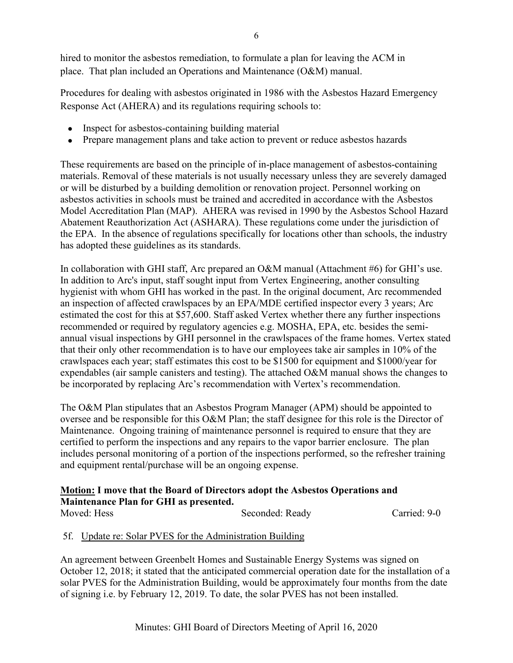Procedures for dealing with asbestos originated in 1986 with the Asbestos Hazard Emergency Response Act (AHERA) and its regulations requiring schools to:

- Inspect for asbestos-containing building material
- Prepare management plans and take action to prevent or reduce asbestos hazards

These requirements are based on the principle of in-place management of asbestos-containing materials. Removal of these materials is not usually necessary unless they are severely damaged or will be disturbed by a building demolition or renovation project. Personnel working on asbestos activities in schools must be trained and accredited in accordance with the Asbestos Model Accreditation Plan (MAP). AHERA was revised in 1990 by the Asbestos School Hazard Abatement Reauthorization Act (ASHARA). These regulations come under the jurisdiction of the EPA. In the absence of regulations specifically for locations other than schools, the industry has adopted these guidelines as its standards.

In collaboration with GHI staff, Arc prepared an O&M manual (Attachment #6) for GHI's use. In addition to Arc's input, staff sought input from Vertex Engineering, another consulting hygienist with whom GHI has worked in the past. In the original document, Arc recommended an inspection of affected crawlspaces by an EPA/MDE certified inspector every 3 years; Arc estimated the cost for this at \$57,600. Staff asked Vertex whether there any further inspections recommended or required by regulatory agencies e.g. MOSHA, EPA, etc. besides the semiannual visual inspections by GHI personnel in the crawlspaces of the frame homes. Vertex stated that their only other recommendation is to have our employees take air samples in 10% of the crawlspaces each year; staff estimates this cost to be \$1500 for equipment and \$1000/year for expendables (air sample canisters and testing). The attached O&M manual shows the changes to be incorporated by replacing Arc's recommendation with Vertex's recommendation.

The O&M Plan stipulates that an Asbestos Program Manager (APM) should be appointed to oversee and be responsible for this O&M Plan; the staff designee for this role is the Director of Maintenance. Ongoing training of maintenance personnel is required to ensure that they are certified to perform the inspections and any repairs to the vapor barrier enclosure. The plan includes personal monitoring of a portion of the inspections performed, so the refresher training and equipment rental/purchase will be an ongoing expense.

# **Motion: I move that the Board of Directors adopt the Asbestos Operations and Maintenance Plan for GHI as presented.**

Moved: Hess Seconded: Ready Carried: 9-0

# 5f. Update re: Solar PVES for the Administration Building

An agreement between Greenbelt Homes and Sustainable Energy Systems was signed on October 12, 2018; it stated that the anticipated commercial operation date for the installation of a solar PVES for the Administration Building, would be approximately four months from the date of signing i.e. by February 12, 2019. To date, the solar PVES has not been installed.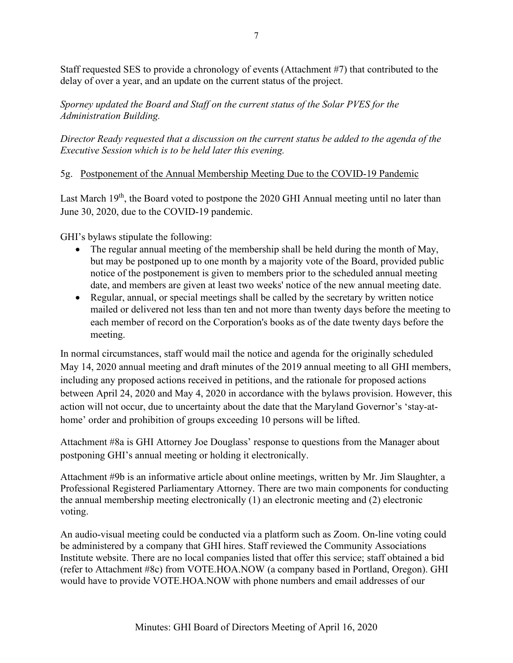Staff requested SES to provide a chronology of events (Attachment #7) that contributed to the delay of over a year, and an update on the current status of the project.

*Sporney updated the Board and Staff on the current status of the Solar PVES for the Administration Building.*

*Director Ready requested that a discussion on the current status be added to the agenda of the Executive Session which is to be held later this evening.*

## 5g. Postponement of the Annual Membership Meeting Due to the COVID-19 Pandemic

Last March  $19<sup>th</sup>$ , the Board voted to postpone the 2020 GHI Annual meeting until no later than June 30, 2020, due to the COVID-19 pandemic.

GHI's bylaws stipulate the following:

- The regular annual meeting of the membership shall be held during the month of May, but may be postponed up to one month by a majority vote of the Board, provided public notice of the postponement is given to members prior to the scheduled annual meeting date, and members are given at least two weeks' notice of the new annual meeting date.
- Regular, annual, or special meetings shall be called by the secretary by written notice mailed or delivered not less than ten and not more than twenty days before the meeting to each member of record on the Corporation's books as of the date twenty days before the meeting.

In normal circumstances, staff would mail the notice and agenda for the originally scheduled May 14, 2020 annual meeting and draft minutes of the 2019 annual meeting to all GHI members, including any proposed actions received in petitions, and the rationale for proposed actions between April 24, 2020 and May 4, 2020 in accordance with the bylaws provision. However, this action will not occur, due to uncertainty about the date that the Maryland Governor's 'stay-athome' order and prohibition of groups exceeding 10 persons will be lifted.

Attachment #8a is GHI Attorney Joe Douglass' response to questions from the Manager about postponing GHI's annual meeting or holding it electronically.

Attachment #9b is an informative article about online meetings, written by Mr. Jim Slaughter, a Professional Registered Parliamentary Attorney. There are two main components for conducting the annual membership meeting electronically (1) an electronic meeting and (2) electronic voting.

An audio-visual meeting could be conducted via a platform such as Zoom. On-line voting could be administered by a company that GHI hires. Staff reviewed the Community Associations Institute website. There are no local companies listed that offer this service; staff obtained a bid (refer to Attachment #8c) from VOTE.HOA.NOW (a company based in Portland, Oregon). GHI would have to provide VOTE.HOA.NOW with phone numbers and email addresses of our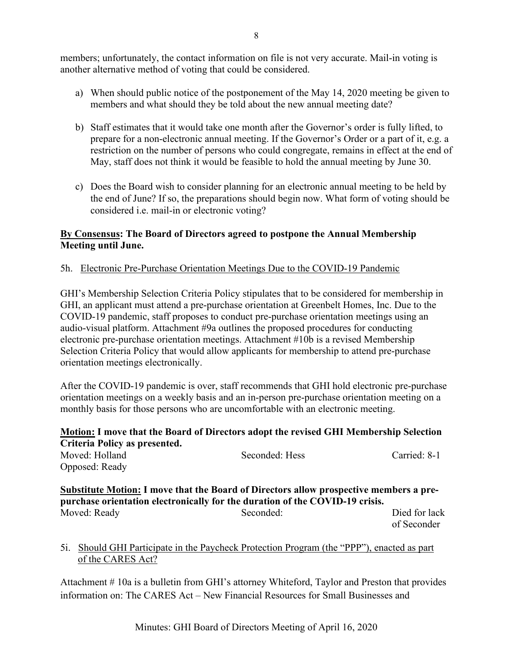members; unfortunately, the contact information on file is not very accurate. Mail-in voting is another alternative method of voting that could be considered.

- a) When should public notice of the postponement of the May 14, 2020 meeting be given to members and what should they be told about the new annual meeting date?
- b) Staff estimates that it would take one month after the Governor's order is fully lifted, to prepare for a non-electronic annual meeting. If the Governor's Order or a part of it, e.g. a restriction on the number of persons who could congregate, remains in effect at the end of May, staff does not think it would be feasible to hold the annual meeting by June 30.
- c) Does the Board wish to consider planning for an electronic annual meeting to be held by the end of June? If so, the preparations should begin now. What form of voting should be considered i.e. mail-in or electronic voting?

## **By Consensus: The Board of Directors agreed to postpone the Annual Membership Meeting until June.**

## 5h. Electronic Pre-Purchase Orientation Meetings Due to the COVID-19 Pandemic

GHI's Membership Selection Criteria Policy stipulates that to be considered for membership in GHI, an applicant must attend a pre-purchase orientation at Greenbelt Homes, Inc. Due to the COVID-19 pandemic, staff proposes to conduct pre-purchase orientation meetings using an audio-visual platform. Attachment #9a outlines the proposed procedures for conducting electronic pre-purchase orientation meetings. Attachment #10b is a revised Membership Selection Criteria Policy that would allow applicants for membership to attend pre-purchase orientation meetings electronically.

After the COVID-19 pandemic is over, staff recommends that GHI hold electronic pre-purchase orientation meetings on a weekly basis and an in-person pre-purchase orientation meeting on a monthly basis for those persons who are uncomfortable with an electronic meeting.

# **Motion: I move that the Board of Directors adopt the revised GHI Membership Selection Criteria Policy as presented.**

Moved: Holland Seconded: Hess Carried: 8-1 Opposed: Ready

### **Substitute Motion: I move that the Board of Directors allow prospective members a prepurchase orientation electronically for the duration of the COVID-19 crisis.** Moved: Ready Seconded: Seconded: Died for lack

of Seconder

## 5i. Should GHI Participate in the Paycheck Protection Program (the "PPP"), enacted as part of [the CARES Act?](https://news.wtplaw.com/collect/click.aspx?u=b3VkMGVDQjF2VDRaZEN1WXRZRDBueHZmZ0V1aG50UThrRXg0ekxlZXVQdW1KSFMzNXNIUU4zK2RTTTRGSWhrRjhWY1Y1OGZpbUdWaFJ2bmdMQi9sYTdjYkVNRlhIWkFJRFhaWHp6MUtYeHhSY3hkT3hRZVFVeEhFbndrZ0hYRmtwdFFlT3F4VmF4ND0=&rh=ff005e6668404412b7967fc648428b63e26b4907)

Attachment # 10a is a bulletin from GHI's attorney Whiteford, Taylor and Preston that provides information on: The CARES Act – New Financial Resources for Small Businesses and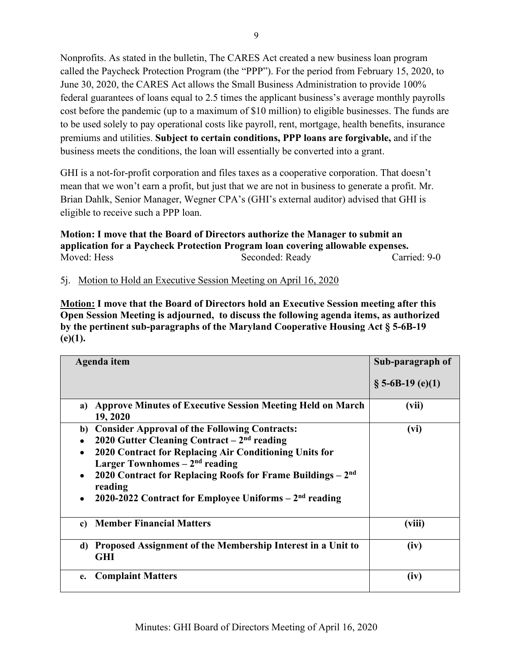Nonprofits. As stated in the bulletin, The CARES Act created a new business loan program called the Paycheck Protection Program (the "PPP"). For the period from February 15, 2020, to June 30, 2020, the CARES Act allows the Small Business Administration to provide 100% federal guarantees of loans equal to 2.5 times the applicant business's average monthly payrolls cost before the pandemic (up to a maximum of \$10 million) to eligible businesses. The funds are to be used solely to pay operational costs like payroll, rent, mortgage, health benefits, insurance premiums and utilities. **Subject to certain conditions, PPP loans are forgivable,** and if the business meets the conditions, the loan will essentially be converted into a grant.

GHI is a not-for-profit corporation and files taxes as a cooperative corporation. That doesn't mean that we won't earn a profit, but just that we are not in business to generate a profit. Mr. Brian Dahlk, Senior Manager, Wegner CPA's (GHI's external auditor) advised that GHI is eligible to receive such a PPP loan.

**Motion: I move that the Board of Directors authorize the Manager to submit an application for a Paycheck Protection Program loan covering allowable expenses.** Moved: Hess Seconded: Ready Carried: 9-0

5j. Motion to Hold an Executive Session Meeting on April 16, 2020

**Motion: I move that the Board of Directors hold an Executive Session meeting after this Open Session Meeting is adjourned, to discuss the following agenda items, as authorized by the pertinent sub-paragraphs of the Maryland Cooperative Housing Act § 5-6B-19 (e)(1).** 

| Agenda item                                                                                                                                                                                                                                                                                                                                             | Sub-paragraph of    |
|---------------------------------------------------------------------------------------------------------------------------------------------------------------------------------------------------------------------------------------------------------------------------------------------------------------------------------------------------------|---------------------|
|                                                                                                                                                                                                                                                                                                                                                         | $\S$ 5-6B-19 (e)(1) |
| <b>Approve Minutes of Executive Session Meeting Held on March</b><br>a)<br>19, 2020                                                                                                                                                                                                                                                                     | (vii)               |
| <b>Consider Approval of the Following Contracts:</b><br>b)<br>2020 Gutter Cleaning Contract $-2nd$ reading<br>2020 Contract for Replacing Air Conditioning Units for<br>Larger Townhomes $-2nd$ reading<br>2020 Contract for Replacing Roofs for Frame Buildings $-2nd$<br>٠<br>reading<br>2020-2022 Contract for Employee Uniforms $-2nd$ reading<br>٠ | (vi)                |
| <b>Member Financial Matters</b><br>c)                                                                                                                                                                                                                                                                                                                   | (viii)              |
| Proposed Assignment of the Membership Interest in a Unit to<br>d)<br><b>GHI</b>                                                                                                                                                                                                                                                                         | (iv)                |
| <b>Complaint Matters</b><br>e.                                                                                                                                                                                                                                                                                                                          | (iv)                |